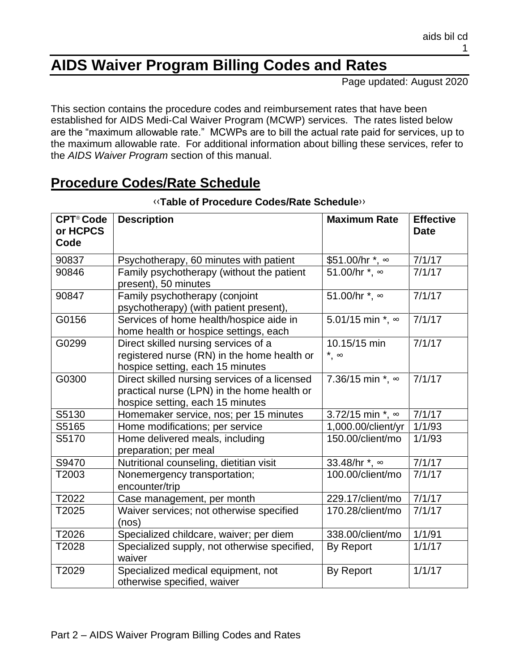# **AIDS Waiver Program Billing Codes and Rates**

Page updated: August 2020

This section contains the procedure codes and reimbursement rates that have been established for AIDS Medi-Cal Waiver Program (MCWP) services. The rates listed below are the "maximum allowable rate." MCWPs are to bill the actual rate paid for services, up to the maximum allowable rate. For additional information about billing these services, refer to the *AIDS Waiver Program* section of this manual.

### **Procedure Codes/Rate Schedule**

| <b>CPT<sup>®</sup> Code</b><br>or HCPCS<br>Code | <b>Description</b>                                                                                                               | <b>Maximum Rate</b>             | <b>Effective</b><br><b>Date</b> |
|-------------------------------------------------|----------------------------------------------------------------------------------------------------------------------------------|---------------------------------|---------------------------------|
| 90837                                           | Psychotherapy, 60 minutes with patient                                                                                           | \$51.00/hr *, ∞                 | 7/1/17                          |
| 90846                                           | Family psychotherapy (without the patient<br>present), 50 minutes                                                                | 51.00/hr *, ∞                   | 7/1/17                          |
| 90847                                           | Family psychotherapy (conjoint<br>psychotherapy) (with patient present),                                                         | 51.00/hr *, ∞                   | 7/1/17                          |
| G0156                                           | Services of home health/hospice aide in<br>home health or hospice settings, each                                                 | 5.01/15 min *, ∞                | 7/1/17                          |
| G0299                                           | Direct skilled nursing services of a<br>registered nurse (RN) in the home health or<br>hospice setting, each 15 minutes          | 10.15/15 min<br>$^*$ , $\infty$ | 7/1/17                          |
| G0300                                           | Direct skilled nursing services of a licensed<br>practical nurse (LPN) in the home health or<br>hospice setting, each 15 minutes | 7.36/15 min $*$ , $\infty$      | 7/1/17                          |
| S5130                                           | Homemaker service, nos; per 15 minutes                                                                                           | 3.72/15 min $*$ , $\infty$      | 7/1/17                          |
| S5165                                           | Home modifications; per service                                                                                                  | 1,000.00/client/yr              | 1/1/93                          |
| S5170                                           | Home delivered meals, including<br>preparation; per meal                                                                         | 150.00/client/mo                | 1/1/93                          |
| S9470                                           | Nutritional counseling, dietitian visit                                                                                          | 33.48/hr *, ∞                   | 7/1/17                          |
| T2003                                           | Nonemergency transportation;<br>encounter/trip                                                                                   | 100.00/client/mo                | 7/1/17                          |
| T2022                                           | Case management, per month                                                                                                       | 229.17/client/mo                | 7/1/17                          |
| T2025                                           | Waiver services; not otherwise specified<br>(nos)                                                                                | 170.28/client/mo                | 7/1/17                          |
| T2026                                           | Specialized childcare, waiver; per diem                                                                                          | 338.00/client/mo                | 1/1/91                          |
| T2028                                           | Specialized supply, not otherwise specified,<br>waiver                                                                           | By Report                       | 1/1/17                          |
| T2029                                           | Specialized medical equipment, not<br>otherwise specified, waiver                                                                | <b>By Report</b>                | 1/1/17                          |

#### ‹‹**Table of Procedure Codes/Rate Schedule**››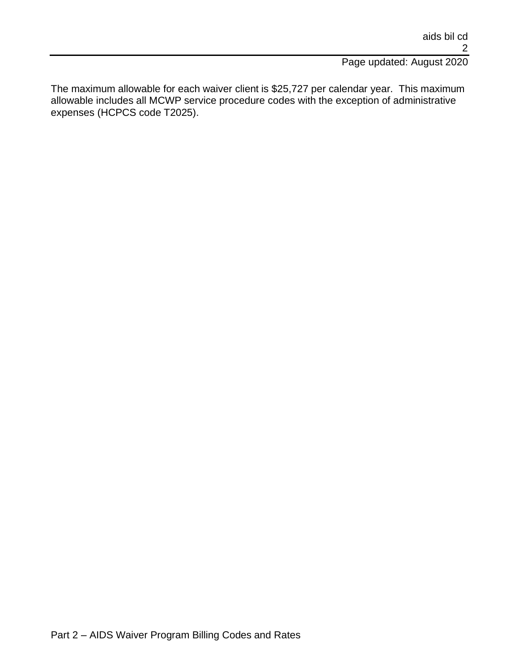#### Page updated: August 2020

The maximum allowable for each waiver client is \$25,727 per calendar year. This maximum allowable includes all MCWP service procedure codes with the exception of administrative expenses (HCPCS code T2025).